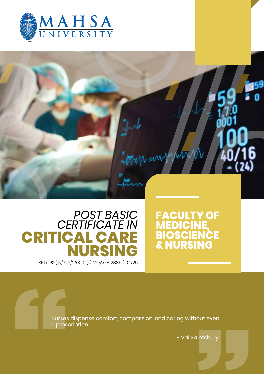



## **CRITICAL CARE NURSING** KPT/JPS ( N/723/2/0004) ( MQA/PA12886 ) 04/25 *POST BASIC CERTIFICATE IN*

## **FACULTY OF MEDICINE, BIOSCIENCE & NURSING**

Nurses dispense comfort, compassion, and caring without even a prescription

- Val Saintsbury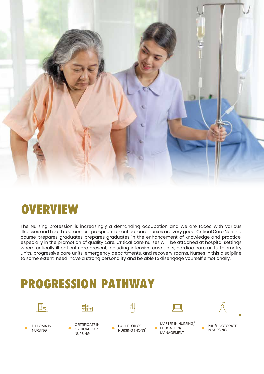

## **OVERVIEW**

The Nursing profession is increasingly a demanding occupation and we are faced with various illnesses and health outcomes. prospects for critical care nurses are very good. Critical Care Nursing course prepares graduates prepares graduates in the enhancement of knowledge and practice, especially in the promotion of quality care. Critical care nurses will be attached at hospital settings where critically ill patients are present, including intensive care units, cardiac care units, telemetry units, progressive care units, emergency departments, and recovery rooms. Nurses in this discipline to some extent need have a strong personality and be able to disengage yourself emotionally.

## **PROGRESSION PATHWAY**

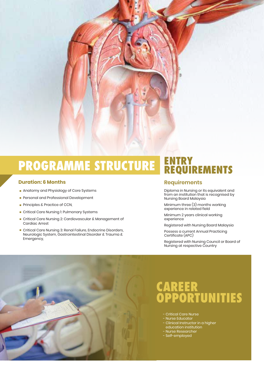

# **PROGRAMME STRUCTURE ENTRY REQUIREMENTS**

### **Duration: 6 Months Requirements**

- **Anatomy and Physiology of Core Systems**
- **Personal and Professional Development**
- **Principles & Practice of CCN,**
- **E.** Critical Care Nursing 1: Pulmonary Systems
- . Critical Care Nursing 2: Cardiovascular & Management of Cardiac Arrest
- . Critical Care Nursing 3: Renal Failure, Endocrine Disorders, Neurologic System, Gastrointestinal Disorder & Trauma & Emergency,

Diploma in Nursing or its equivalent and from an institution that is recognised by Nursing Board Malaysia

Minimum three (3) months working experience in related field

Minimum 2 years clinical working experience

Registered with Nursing Board Malaysia

Possess a current Annual Practicing Certificate (APC)

Registered with Nursing Council or Board of Nursing at respective Country



## **CAREER OPPORTUNITIES**

- Critical Care Nurse
- Nurse Educator - Clinical Instructor in a higher
- education institution
- Nurse Researcher
- Self-employed